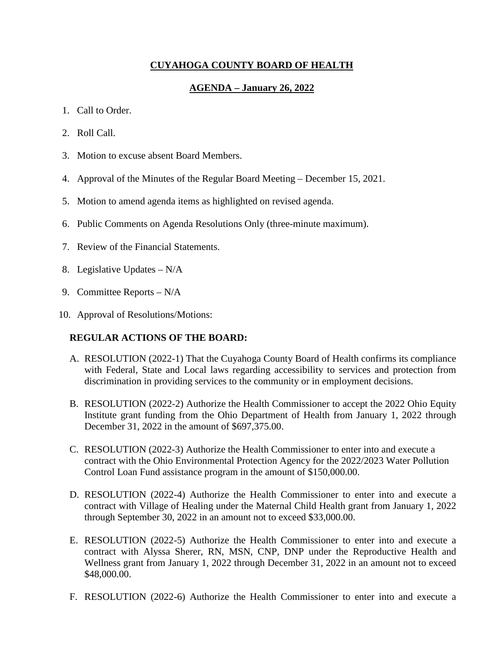# **CUYAHOGA COUNTY BOARD OF HEALTH**

# **AGENDA – January 26, 2022**

- 1. Call to Order.
- 2. Roll Call.
- 3. Motion to excuse absent Board Members.
- 4. Approval of the Minutes of the Regular Board Meeting December 15, 2021.
- 5. Motion to amend agenda items as highlighted on revised agenda.
- 6. Public Comments on Agenda Resolutions Only (three-minute maximum).
- 7. Review of the Financial Statements.
- 8. Legislative Updates N/A
- 9. Committee Reports N/A
- 10. Approval of Resolutions/Motions:

# **REGULAR ACTIONS OF THE BOARD:**

- A. RESOLUTION (2022-1) That the Cuyahoga County Board of Health confirms its compliance with Federal, State and Local laws regarding accessibility to services and protection from discrimination in providing services to the community or in employment decisions.
- B. RESOLUTION (2022-2) Authorize the Health Commissioner to accept the 2022 Ohio Equity Institute grant funding from the Ohio Department of Health from January 1, 2022 through December 31, 2022 in the amount of \$697,375.00.
- C. RESOLUTION (2022-3) Authorize the Health Commissioner to enter into and execute a contract with the Ohio Environmental Protection Agency for the 2022/2023 Water Pollution Control Loan Fund assistance program in the amount of \$150,000.00.
- D. RESOLUTION (2022-4) Authorize the Health Commissioner to enter into and execute a contract with Village of Healing under the Maternal Child Health grant from January 1, 2022 through September 30, 2022 in an amount not to exceed \$33,000.00.
- E. RESOLUTION (2022-5) Authorize the Health Commissioner to enter into and execute a contract with Alyssa Sherer, RN, MSN, CNP, DNP under the Reproductive Health and Wellness grant from January 1, 2022 through December 31, 2022 in an amount not to exceed \$48,000.00.
- F. RESOLUTION (2022-6) Authorize the Health Commissioner to enter into and execute a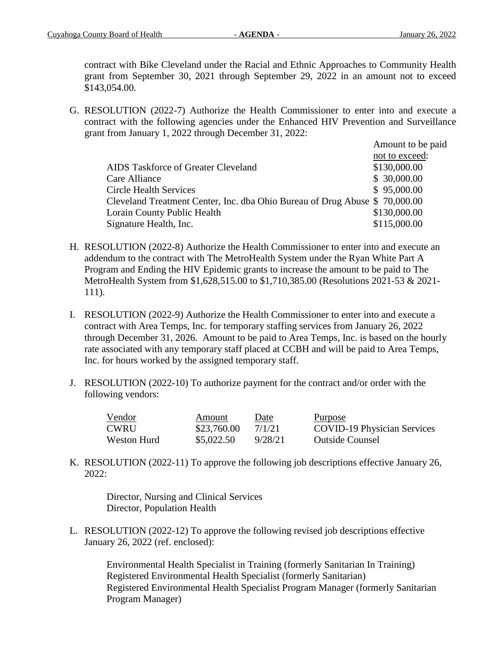contract with Bike Cleveland under the Racial and Ethnic Approaches to Community Health grant from September 30, 2021 through September 29, 2022 in an amount not to exceed \$143,054.00.

G. RESOLUTION (2022-7) Authorize the Health Commissioner to enter into and execute a contract with the following agencies under the Enhanced HIV Prevention and Surveillance grant from January 1, 2022 through December 31, 2022:

|                                                                            | Amount to be paid |
|----------------------------------------------------------------------------|-------------------|
|                                                                            | not to exceed:    |
| AIDS Taskforce of Greater Cleveland                                        | \$130,000.00      |
| Care Alliance                                                              | \$30,000.00       |
| <b>Circle Health Services</b>                                              | \$95,000.00       |
| Cleveland Treatment Center, Inc. dba Ohio Bureau of Drug Abuse \$70,000.00 |                   |
| Lorain County Public Health                                                | \$130,000.00      |
| Signature Health, Inc.                                                     | \$115,000.00      |

- H. RESOLUTION (2022-8) Authorize the Health Commissioner to enter into and execute an addendum to the contract with The MetroHealth System under the Ryan White Part A Program and Ending the HIV Epidemic grants to increase the amount to be paid to The MetroHealth System from \$1,628,515.00 to \$1,710,385.00 (Resolutions 2021-53 & 2021- 111).
- I. RESOLUTION (2022-9) Authorize the Health Commissioner to enter into and execute a contract with Area Temps, Inc. for temporary staffing services from January 26, 2022 through December 31, 2026. Amount to be paid to Area Temps, Inc. is based on the hourly rate associated with any temporary staff placed at CCBH and will be paid to Area Temps, Inc. for hours worked by the assigned temporary staff.
- J. RESOLUTION (2022-10) To authorize payment for the contract and/or order with the following vendors:

| Vendor      | Amount      | Date    | <b>Purpose</b>                     |
|-------------|-------------|---------|------------------------------------|
| CWRU        | \$23,760.00 | 7/1/21  | <b>COVID-19 Physician Services</b> |
| Weston Hurd | \$5,022.50  | 9/28/21 | <b>Outside Counsel</b>             |

K. RESOLUTION (2022-11) To approve the following job descriptions effective January 26, 2022:

Director, Nursing and Clinical Services Director, Population Health

L. RESOLUTION (2022-12) To approve the following revised job descriptions effective January 26, 2022 (ref. enclosed):

> Environmental Health Specialist in Training (formerly Sanitarian In Training) Registered Environmental Health Specialist (formerly Sanitarian) Registered Environmental Health Specialist Program Manager (formerly Sanitarian Program Manager)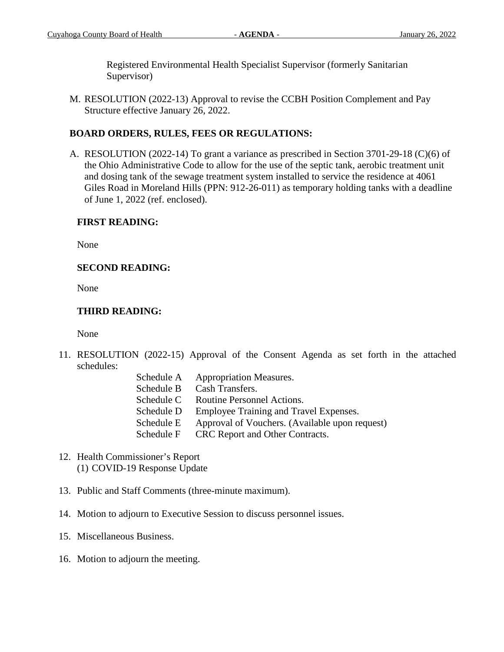Registered Environmental Health Specialist Supervisor (formerly Sanitarian Supervisor)

M. RESOLUTION (2022-13) Approval to revise the CCBH Position Complement and Pay Structure effective January 26, 2022.

# **BOARD ORDERS, RULES, FEES OR REGULATIONS:**

A. RESOLUTION (2022-14) To grant a variance as prescribed in Section 3701-29-18 (C)(6) of the Ohio Administrative Code to allow for the use of the septic tank, aerobic treatment unit and dosing tank of the sewage treatment system installed to service the residence at 4061 Giles Road in Moreland Hills (PPN: 912-26-011) as temporary holding tanks with a deadline of June 1, 2022 (ref. enclosed).

# **FIRST READING:**

None

# **SECOND READING:**

None

# **THIRD READING:**

None

11. RESOLUTION (2022-15) Approval of the Consent Agenda as set forth in the attached schedules:

| Schedule A | <b>Appropriation Measures.</b>                 |
|------------|------------------------------------------------|
| Schedule B | Cash Transfers.                                |
| Schedule C | Routine Personnel Actions.                     |
| Schedule D | Employee Training and Travel Expenses.         |
| Schedule E | Approval of Vouchers. (Available upon request) |
| Schedule F | CRC Report and Other Contracts.                |

- 12. Health Commissioner's Report (1) COVID-19 Response Update
- 13. Public and Staff Comments (three-minute maximum).
- 14. Motion to adjourn to Executive Session to discuss personnel issues.
- 15. Miscellaneous Business.
- 16. Motion to adjourn the meeting.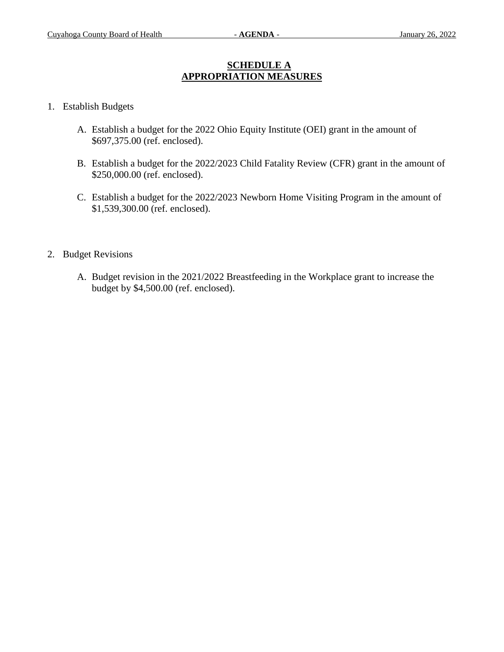## **SCHEDULE A APPROPRIATION MEASURES**

### 1. Establish Budgets

- A. Establish a budget for the 2022 Ohio Equity Institute (OEI) grant in the amount of \$697,375.00 (ref. enclosed).
- B. Establish a budget for the 2022/2023 Child Fatality Review (CFR) grant in the amount of \$250,000.00 (ref. enclosed).
- C. Establish a budget for the 2022/2023 Newborn Home Visiting Program in the amount of \$1,539,300.00 (ref. enclosed).

### 2. Budget Revisions

A. Budget revision in the 2021/2022 Breastfeeding in the Workplace grant to increase the budget by \$4,500.00 (ref. enclosed).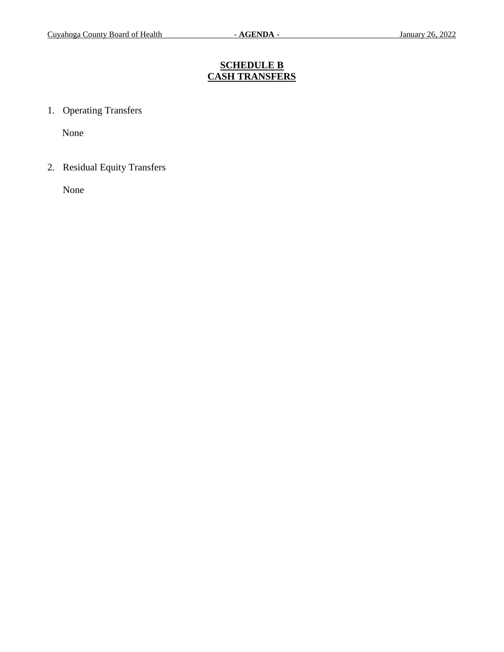# **SCHEDULE B CASH TRANSFERS**

1. Operating Transfers

None

2. Residual Equity Transfers

None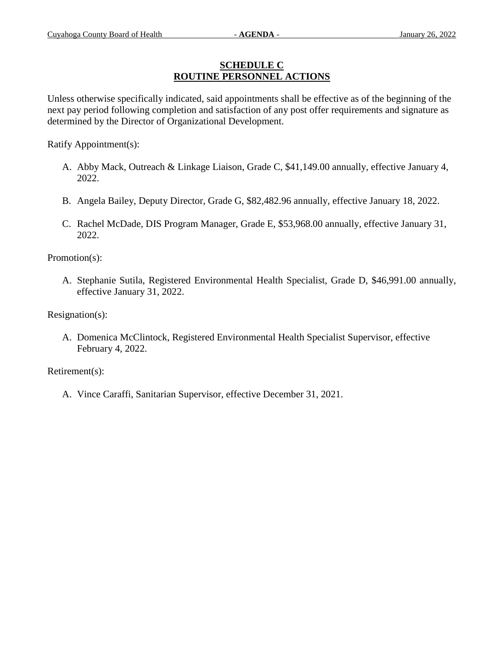## **SCHEDULE C ROUTINE PERSONNEL ACTIONS**

Unless otherwise specifically indicated, said appointments shall be effective as of the beginning of the next pay period following completion and satisfaction of any post offer requirements and signature as determined by the Director of Organizational Development.

Ratify Appointment(s):

- A. Abby Mack, Outreach & Linkage Liaison, Grade C, \$41,149.00 annually, effective January 4, 2022.
- B. Angela Bailey, Deputy Director, Grade G, \$82,482.96 annually, effective January 18, 2022.
- C. Rachel McDade, DIS Program Manager, Grade E, \$53,968.00 annually, effective January 31, 2022.

Promotion(s):

A. Stephanie Sutila, Registered Environmental Health Specialist, Grade D, \$46,991.00 annually, effective January 31, 2022.

Resignation(s):

A. Domenica McClintock, Registered Environmental Health Specialist Supervisor, effective February 4, 2022.

Retirement(s):

A. Vince Caraffi, Sanitarian Supervisor, effective December 31, 2021.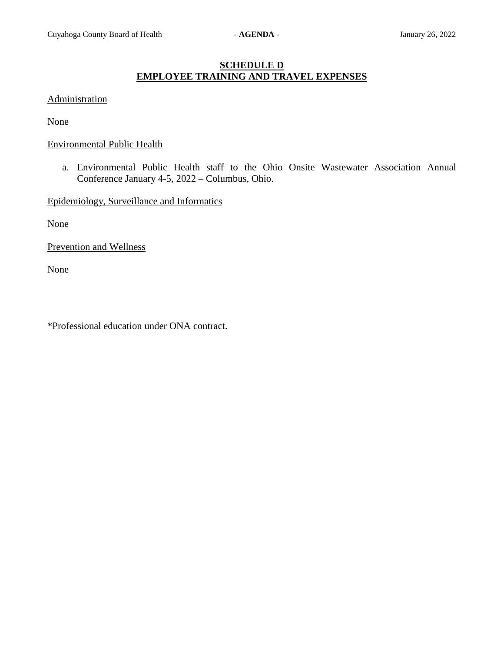# **SCHEDULE D EMPLOYEE TRAINING AND TRAVEL EXPENSES**

## **Administration**

None

Environmental Public Health

a. Environmental Public Health staff to the Ohio Onsite Wastewater Association Annual Conference January 4-5, 2022 – Columbus, Ohio.

Epidemiology, Surveillance and Informatics

None

Prevention and Wellness

None

\*Professional education under ONA contract.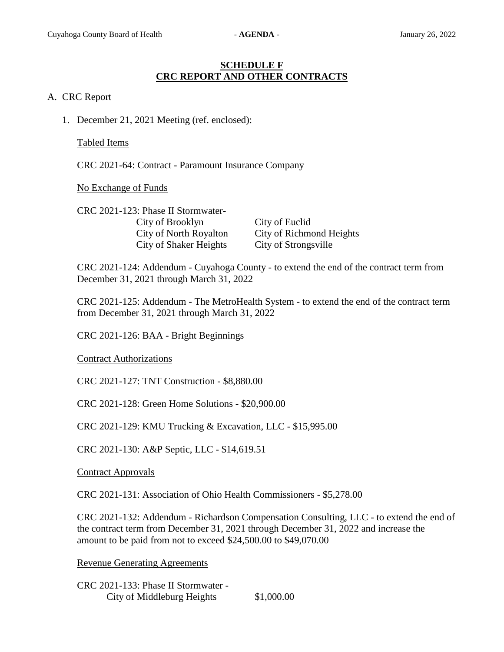## **SCHEDULE F CRC REPORT AND OTHER CONTRACTS**

## A. CRC Report

1. December 21, 2021 Meeting (ref. enclosed):

## Tabled Items

CRC 2021-64: Contract - Paramount Insurance Company

No Exchange of Funds

| CRC 2021-123: Phase II Stormwater- |                          |
|------------------------------------|--------------------------|
| City of Brooklyn                   | City of Euclid           |
| City of North Royalton             | City of Richmond Heights |
| City of Shaker Heights             | City of Strongsville     |

CRC 2021-124: Addendum - Cuyahoga County - to extend the end of the contract term from December 31, 2021 through March 31, 2022

CRC 2021-125: Addendum - The MetroHealth System - to extend the end of the contract term from December 31, 2021 through March 31, 2022

CRC 2021-126: BAA - Bright Beginnings

Contract Authorizations

CRC 2021-127: TNT Construction - \$8,880.00

CRC 2021-128: Green Home Solutions - \$20,900.00

CRC 2021-129: KMU Trucking & Excavation, LLC - \$15,995.00

CRC 2021-130: A&P Septic, LLC - \$14,619.51

### Contract Approvals

CRC 2021-131: Association of Ohio Health Commissioners - \$5,278.00

CRC 2021-132: Addendum - Richardson Compensation Consulting, LLC - to extend the end of the contract term from December 31, 2021 through December 31, 2022 and increase the amount to be paid from not to exceed \$24,500.00 to \$49,070.00

### Revenue Generating Agreements

CRC 2021-133: Phase II Stormwater - City of Middleburg Heights \$1,000.00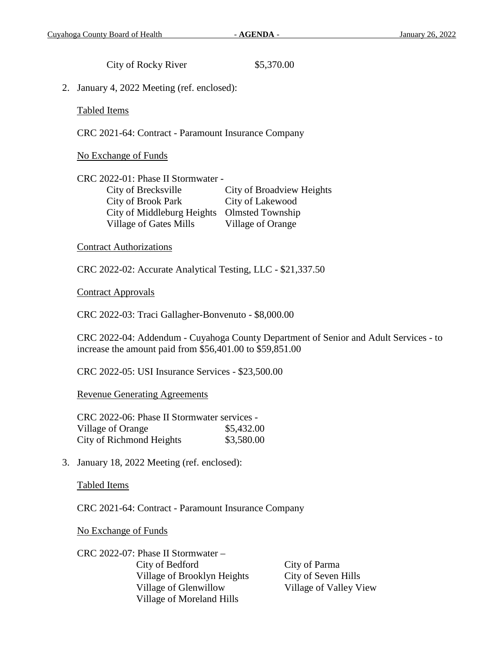City of Rocky River \$5,370.00

2. January 4, 2022 Meeting (ref. enclosed):

Tabled Items

CRC 2021-64: Contract - Paramount Insurance Company

No Exchange of Funds

CRC 2022-01: Phase II Stormwater - City of Brecksville City of Broadview Heights City of Brook Park City of Lakewood City of Middleburg Heights Olmsted Township Village of Gates Mills Village of Orange

Contract Authorizations

CRC 2022-02: Accurate Analytical Testing, LLC - \$21,337.50

Contract Approvals

CRC 2022-03: Traci Gallagher-Bonvenuto - \$8,000.00

CRC 2022-04: Addendum - Cuyahoga County Department of Senior and Adult Services - to increase the amount paid from \$56,401.00 to \$59,851.00

CRC 2022-05: USI Insurance Services - \$23,500.00

Revenue Generating Agreements

CRC 2022-06: Phase II Stormwater services - Village of Orange \$5,432.00 City of Richmond Heights  $$3,580.00$ 

3. January 18, 2022 Meeting (ref. enclosed):

Tabled Items

CRC 2021-64: Contract - Paramount Insurance Company

No Exchange of Funds

CRC 2022-07: Phase II Stormwater – City of Bedford City of Parma Village of Brooklyn Heights City of Seven Hills Village of Glenwillow Village of Valley View Village of Moreland Hills